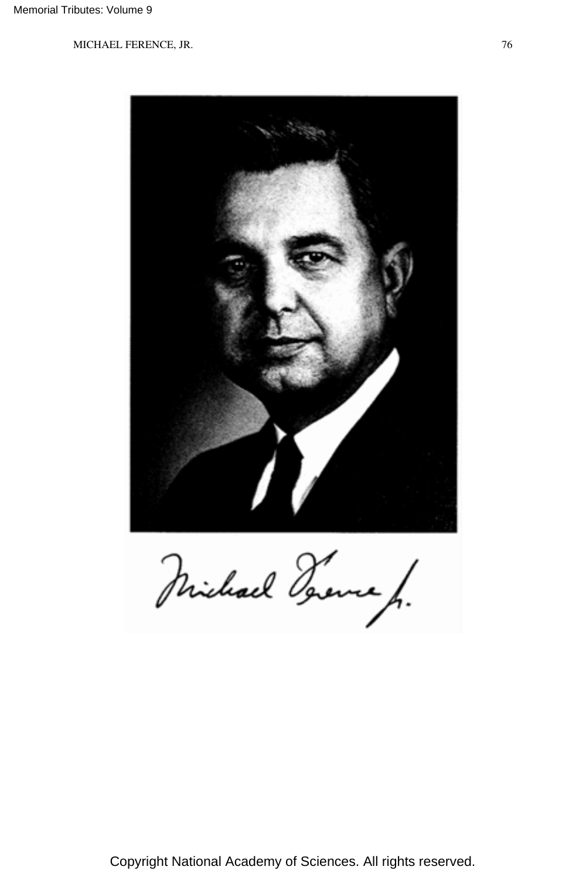

Copyright National Academy of Sciences. All rights reserved.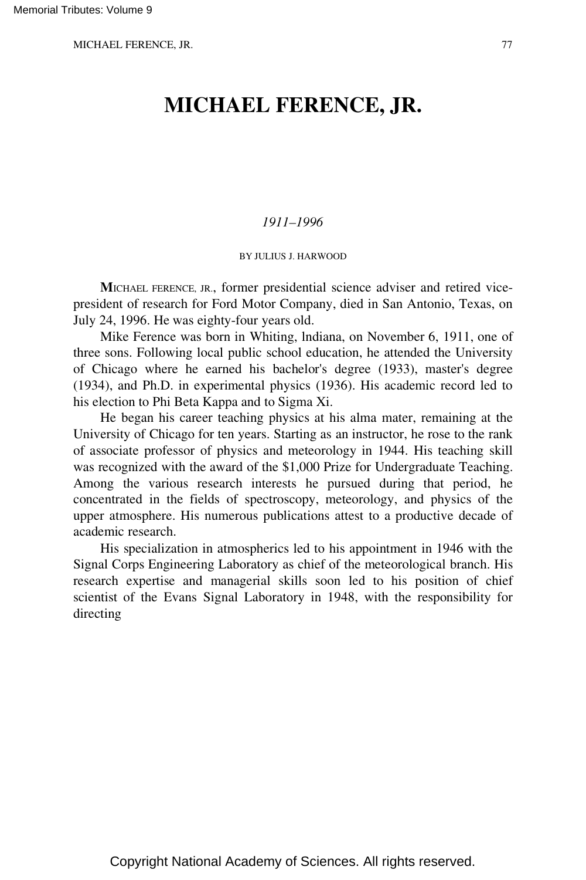# **MICHAEL FERENCE, JR.**

#### *1911–1996*

#### BY JULIUS J. HARWOOD

**M**ICHAEL FERENCE, JR., former presidential science adviser and retired vicepresident of research for Ford Motor Company, died in San Antonio, Texas, on July 24, 1996. He was eighty-four years old.

Mike Ference was born in Whiting, lndiana, on November 6, 1911, one of three sons. Following local public school education, he attended the University of Chicago where he earned his bachelor's degree (1933), master's degree (1934), and Ph.D. in experimental physics (1936). His academic record led to his election to Phi Beta Kappa and to Sigma Xi.

He began his career teaching physics at his alma mater, remaining at the University of Chicago for ten years. Starting as an instructor, he rose to the rank of associate professor of physics and meteorology in 1944. His teaching skill was recognized with the award of the \$1,000 Prize for Undergraduate Teaching. Among the various research interests he pursued during that period, he concentrated in the fields of spectroscopy, meteorology, and physics of the upper atmosphere. His numerous publications attest to a productive decade of academic research.

His specialization in atmospherics led to his appointment in 1946 with the Signal Corps Engineering Laboratory as chief of the meteorological branch. His research expertise and managerial skills soon led to his position of chief scientist of the Evans Signal Laboratory in 1948, with the responsibility for directing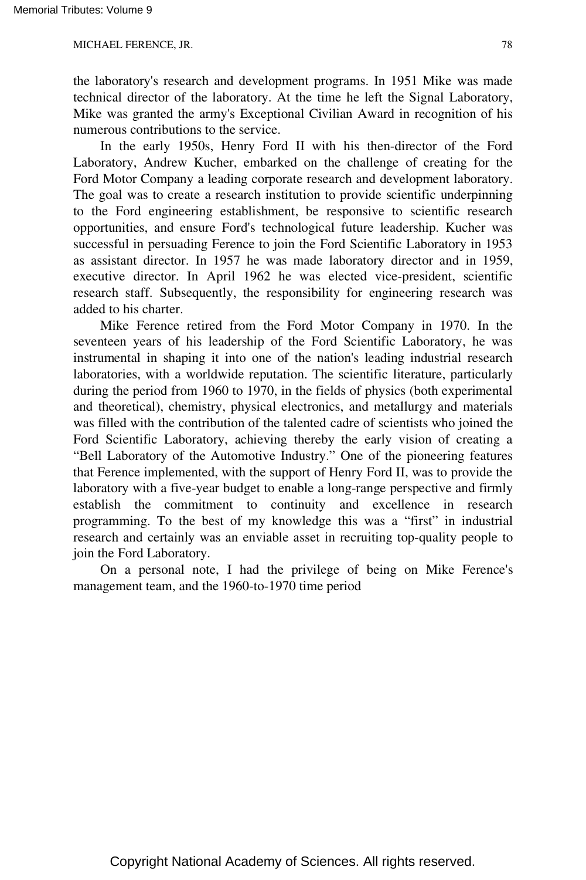the laboratory's research and development programs. In 1951 Mike was made technical director of the laboratory. At the time he left the Signal Laboratory, Mike was granted the army's Exceptional Civilian Award in recognition of his numerous contributions to the service.

In the early 1950s, Henry Ford II with his then-director of the Ford Laboratory, Andrew Kucher, embarked on the challenge of creating for the Ford Motor Company a leading corporate research and development laboratory. The goal was to create a research institution to provide scientific underpinning to the Ford engineering establishment, be responsive to scientific research opportunities, and ensure Ford's technological future leadership. Kucher was successful in persuading Ference to join the Ford Scientific Laboratory in 1953 as assistant director. In 1957 he was made laboratory director and in 1959, executive director. In April 1962 he was elected vice-president, scientific research staff. Subsequently, the responsibility for engineering research was added to his charter.

Mike Ference retired from the Ford Motor Company in 1970. In the seventeen years of his leadership of the Ford Scientific Laboratory, he was instrumental in shaping it into one of the nation's leading industrial research laboratories, with a worldwide reputation. The scientific literature, particularly during the period from 1960 to 1970, in the fields of physics (both experimental and theoretical), chemistry, physical electronics, and metallurgy and materials was filled with the contribution of the talented cadre of scientists who joined the Ford Scientific Laboratory, achieving thereby the early vision of creating a "Bell Laboratory of the Automotive Industry." One of the pioneering features that Ference implemented, with the support of Henry Ford II, was to provide the laboratory with a five-year budget to enable a long-range perspective and firmly establish the commitment to continuity and excellence in research programming. To the best of my knowledge this was a "first" in industrial research and certainly was an enviable asset in recruiting top-quality people to join the Ford Laboratory.

On a personal note, I had the privilege of being on Mike Ference's management team, and the 1960-to-1970 time period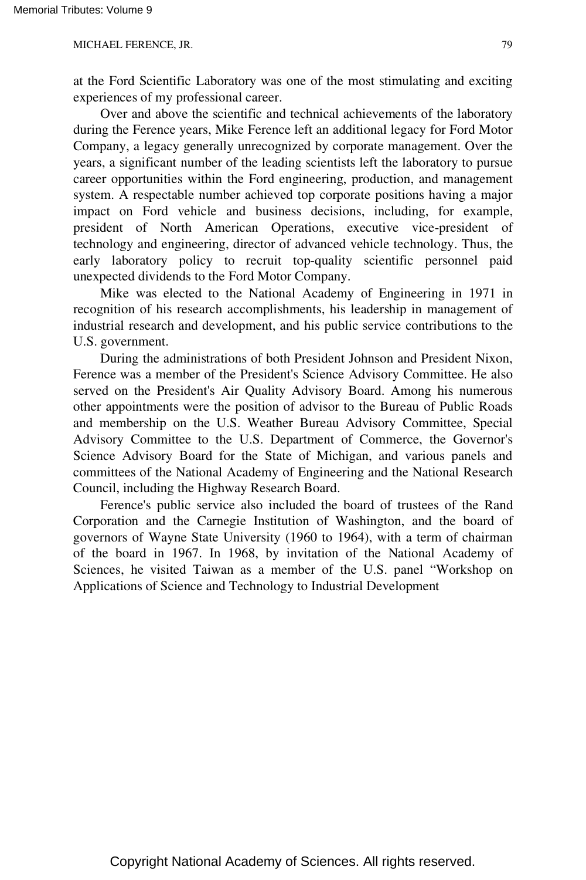at the Ford Scientific Laboratory was one of the most stimulating and exciting experiences of my professional career.

Over and above the scientific and technical achievements of the laboratory during the Ference years, Mike Ference left an additional legacy for Ford Motor Company, a legacy generally unrecognized by corporate management. Over the years, a significant number of the leading scientists left the laboratory to pursue career opportunities within the Ford engineering, production, and management system. A respectable number achieved top corporate positions having a major impact on Ford vehicle and business decisions, including, for example, president of North American Operations, executive vice-president of technology and engineering, director of advanced vehicle technology. Thus, the early laboratory policy to recruit top-quality scientific personnel paid unexpected dividends to the Ford Motor Company.

Mike was elected to the National Academy of Engineering in 1971 in recognition of his research accomplishments, his leadership in management of industrial research and development, and his public service contributions to the U.S. government.

During the administrations of both President Johnson and President Nixon, Ference was a member of the President's Science Advisory Committee. He also served on the President's Air Quality Advisory Board. Among his numerous other appointments were the position of advisor to the Bureau of Public Roads and membership on the U.S. Weather Bureau Advisory Committee, Special Advisory Committee to the U.S. Department of Commerce, the Governor's Science Advisory Board for the State of Michigan, and various panels and committees of the National Academy of Engineering and the National Research Council, including the Highway Research Board.

Ference's public service also included the board of trustees of the Rand Corporation and the Carnegie Institution of Washington, and the board of governors of Wayne State University (1960 to 1964), with a term of chairman of the board in 1967. In 1968, by invitation of the National Academy of Sciences, he visited Taiwan as a member of the U.S. panel "Workshop on Applications of Science and Technology to Industrial Development